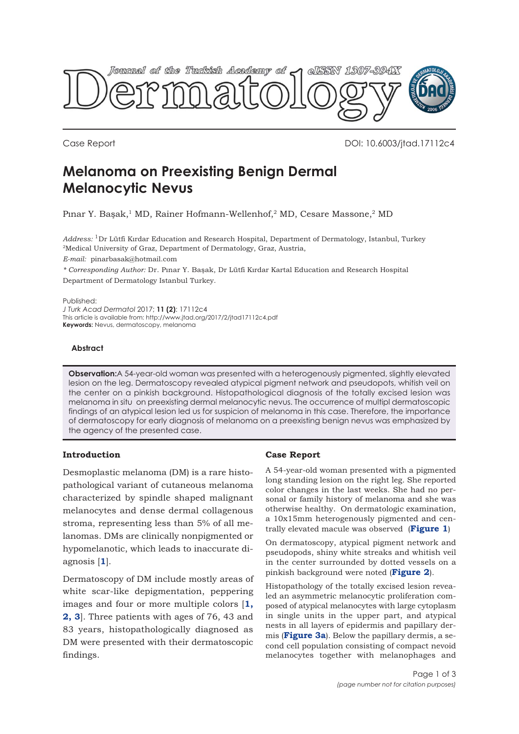

Case Report DOI: 10.6003/jtad.17112c4

# **Melanoma on Preexisting Benign Dermal Melanocytic Nevus**

Pınar Y. Başak,<sup>1</sup> MD, Rainer Hofmann-Wellenhof,<sup>2</sup> MD, Cesare Massone,<sup>2</sup> MD

*Address:* 1Dr Lütfi Kırdar Education and Research Hospital, Department of Dermatology, Istanbul, Turkey <sup>2</sup>Medical University of Graz, Department of Dermatology, Graz, Austria,

*E-mail:* pinarbasak@hotmail.com

*\* Corresponding Author:* Dr. Pınar Y. Başak, Dr Lütfi Kırdar Kartal Education and Research Hospital Department of Dermatology Istanbul Turkey.

Published:

*J Turk Acad Dermatol* 2017; **11 (2)**: 17112c4 This article is available from: http://www.jtad.org/2017/2/jtad17112c4.pdf **Keywords:** Nevus, dermatoscopy, melanoma

### **Abstract**

**Observation:**A 54-year-old woman was presented with a heterogenously pigmented, slightly elevated lesion on the leg. Dermatoscopy revealed atypical pigment network and pseudopots, whitish veil on the center on a pinkish background. Histopathological diagnosis of the totally excised lesion was melanoma in situ on preexisting dermal melanocytic nevus. The occurrence of multipl dermatoscopic findings of an atypical lesion led us for suspicion of melanoma in this case. Therefore, the importance of dermatoscopy for early diagnosis of melanoma on a preexisting benign nevus was emphasized by the agency of the presented case.

# **Introduction**

Desmoplastic melanoma (DM) is a rare histopathological variant of cutaneous melanoma characterized by spindle shaped malignant melanocytes and dense dermal collagenous stroma, representing less than 5% of all melanomas. DMs are clinically nonpigmented or hypomelanotic, which leads to inaccurate diagnosis [**[1](#page-2-0)**].

Dermatoscopy of DM include mostly areas of white scar-like depigmentation, peppering images and four or more multiple colors [**[1,](#page-2-0) [2, 3](#page-2-0)**]. Three patients with ages of 76, 43 and 83 years, histopathologically diagnosed as DM were presented with their dermatoscopic findings.

# **Case Report**

A 54-year-old woman presented with a pigmented long standing lesion on the right leg. She reported color changes in the last weeks. She had no personal or family history of melanoma and she was otherwise healthy. On dermatologic examination, a 10x15mm heterogenously pigmented and centrally elevated macule was observed (**[Figure 1](#page-1-0)**)

On dermatoscopy, atypical pigment network and pseudopods, shiny white streaks and whitish veil in the center surrounded by dotted vessels on a pinkish background were noted (**[Figure 2](#page-1-0)**).

Histopathology of the totally excised lesion revealed an asymmetric melanocytic proliferation composed of atypical melanocytes with large cytoplasm in single units in the upper part, and atypical nests in all layers of epidermis and papillary dermis (**[Figure 3a](#page-1-0)**). Below the papillary dermis, a second cell population consisting of compact nevoid melanocytes together with melanophages and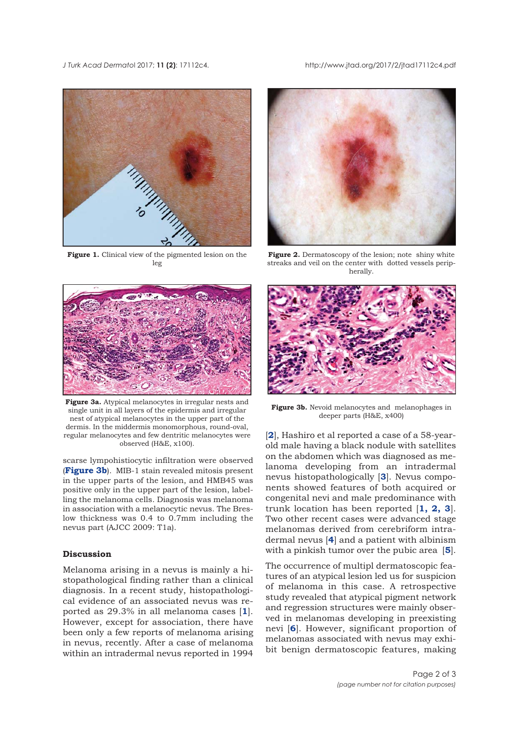### <span id="page-1-0"></span>*J Turk Acad Dermato*l 2017; **11 (2)**: 17112c4. http://www.jtad.org/2017/2/jtad17112c4.pdf



**Figure 1.** Clinical view of the pigmented lesion on the leg



**Figure 2.** Dermatoscopy of the lesion; note shiny white streaks and veil on the center with dotted vessels peripherally.



**Figure 3a.** Atypical melanocytes in irregular nests and single unit in all layers of the epidermis and irregular nest of atypical melanocytes in the upper part of the dermis. In the middermis monomorphous, round-oval, regular melanocytes and few dentritic melanocytes were observed (H&E, x100).

scarse lympohistiocytic infiltration were observed (**Figure 3b**). MIB-1 stain revealed mitosis present in the upper parts of the lesion, and HMB45 was positive only in the upper part of the lesion, labelling the melanoma cells. Diagnosis was melanoma in association with a melanocytic nevus. The Breslow thickness was 0.4 to 0.7mm including the nevus part (AJCC 2009: T1a).

### **Discussion**

Melanoma arising in a nevus is mainly a histopathological finding rather than a clinical diagnosis. In a recent study, histopathological evidence of an associated nevus was reported as 29.3% in all melanoma cases [**[1](#page-2-0)**]. However, except for association, there have been only a few reports of melanoma arising in nevus, recently. After a case of melanoma within an intradermal nevus reported in 1994



**Figure 3b.** Nevoid melanocytes and melanophages in deeper parts (H&E, x400)

[[2](#page-2-0)]. Hashiro et al reported a case of a 58-yearold male having a black nodule with satellites on the abdomen which was diagnosed as melanoma developing from an intradermal nevus histopathologically [**[3](#page-2-0)**]. Nevus components showed features of both acquired or congenital nevi and male predominance with trunk location has been reported [**[1](#page-2-0), [2](#page-2-0), [3](#page-2-0)**]. Two other recent cases were advanced stage melanomas derived from cerebriform intradermal nevus [**[4](#page-2-0)**] and a patient with albinism with a pinkish tumor over the pubic area [**[5](#page-2-0)**].

The occurrence of multipl dermatoscopic features of an atypical lesion led us for suspicion of melanoma in this case. A retrospective study revealed that atypical pigment network and regression structures were mainly observed in melanomas developing in preexisting nevi [**[6](#page-2-0)**]. However, significant proportion of melanomas associated with nevus may exhibit benign dermatoscopic features, making